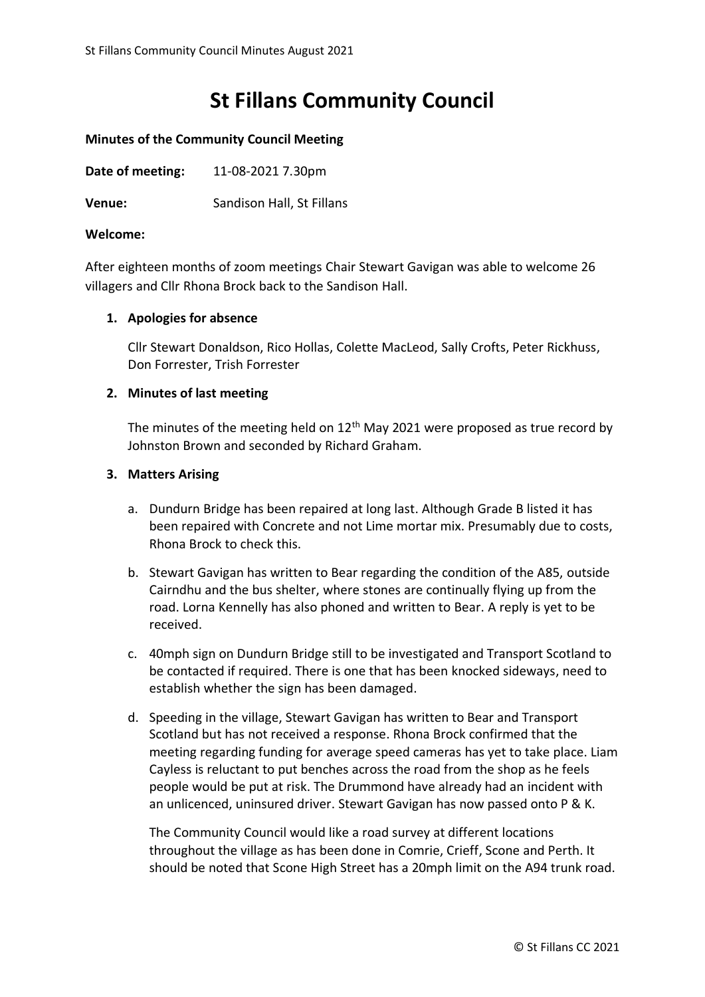# **St Fillans Community Council**

## **Minutes of the Community Council Meeting**

**Date of meeting:** 11-08-2021 7.30pm

**Venue:** Sandison Hall, St Fillans

#### **Welcome:**

After eighteen months of zoom meetings Chair Stewart Gavigan was able to welcome 26 villagers and Cllr Rhona Brock back to the Sandison Hall.

# **1. Apologies for absence**

Cllr Stewart Donaldson, Rico Hollas, Colette MacLeod, Sally Crofts, Peter Rickhuss, Don Forrester, Trish Forrester

#### **2. Minutes of last meeting**

The minutes of the meeting held on  $12<sup>th</sup>$  May 2021 were proposed as true record by Johnston Brown and seconded by Richard Graham.

#### **3. Matters Arising**

- a. Dundurn Bridge has been repaired at long last. Although Grade B listed it has been repaired with Concrete and not Lime mortar mix. Presumably due to costs, Rhona Brock to check this.
- b. Stewart Gavigan has written to Bear regarding the condition of the A85, outside Cairndhu and the bus shelter, where stones are continually flying up from the road. Lorna Kennelly has also phoned and written to Bear. A reply is yet to be received.
- c. 40mph sign on Dundurn Bridge still to be investigated and Transport Scotland to be contacted if required. There is one that has been knocked sideways, need to establish whether the sign has been damaged.
- d. Speeding in the village, Stewart Gavigan has written to Bear and Transport Scotland but has not received a response. Rhona Brock confirmed that the meeting regarding funding for average speed cameras has yet to take place. Liam Cayless is reluctant to put benches across the road from the shop as he feels people would be put at risk. The Drummond have already had an incident with an unlicenced, uninsured driver. Stewart Gavigan has now passed onto P & K.

The Community Council would like a road survey at different locations throughout the village as has been done in Comrie, Crieff, Scone and Perth. It should be noted that Scone High Street has a 20mph limit on the A94 trunk road.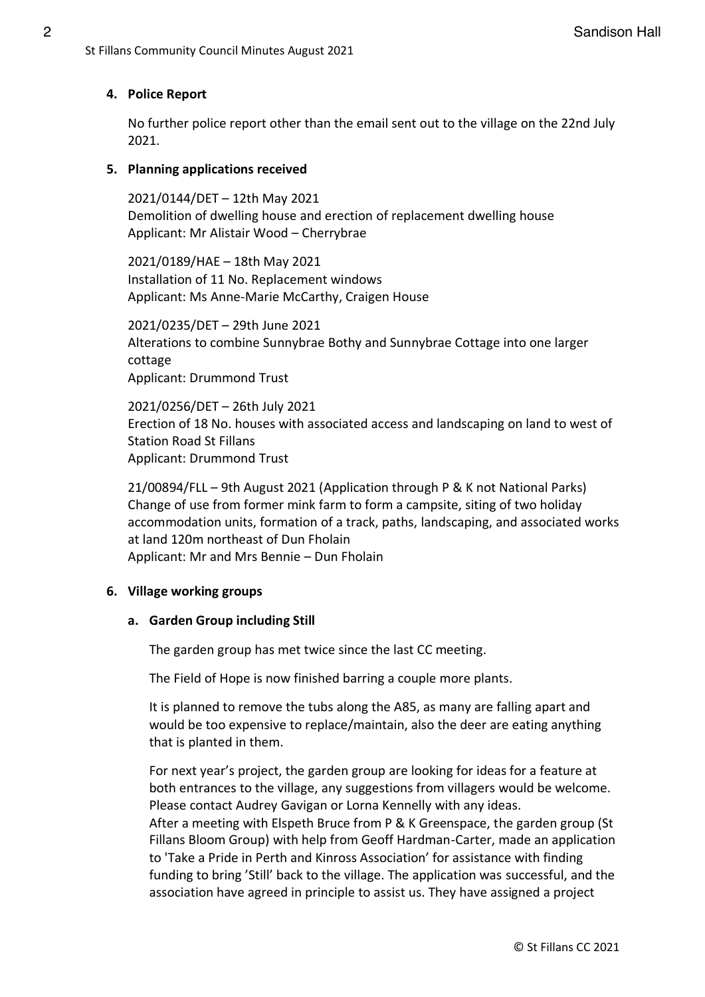# **4. Police Report**

No further police report other than the email sent out to the village on the 22nd July 2021.

# **5. Planning applications received**

2021/0144/DET – 12th May 2021 Demolition of dwelling house and erection of replacement dwelling house Applicant: Mr Alistair Wood – Cherrybrae

2021/0189/HAE – 18th May 2021 Installation of 11 No. Replacement windows Applicant: Ms Anne-Marie McCarthy, Craigen House

2021/0235/DET – 29th June 2021 Alterations to combine Sunnybrae Bothy and Sunnybrae Cottage into one larger cottage Applicant: Drummond Trust

2021/0256/DET – 26th July 2021 Erection of 18 No. houses with associated access and landscaping on land to west of Station Road St Fillans Applicant: Drummond Trust

21/00894/FLL – 9th August 2021 (Application through P & K not National Parks) Change of use from former mink farm to form a campsite, siting of two holiday accommodation units, formation of a track, paths, landscaping, and associated works at land 120m northeast of Dun Fholain Applicant: Mr and Mrs Bennie – Dun Fholain

# **6. Village working groups**

# **a. Garden Group including Still**

The garden group has met twice since the last CC meeting.

The Field of Hope is now finished barring a couple more plants.

It is planned to remove the tubs along the A85, as many are falling apart and would be too expensive to replace/maintain, also the deer are eating anything that is planted in them.

For next year's project, the garden group are looking for ideas for a feature at both entrances to the village, any suggestions from villagers would be welcome. Please contact Audrey Gavigan or Lorna Kennelly with any ideas. After a meeting with Elspeth Bruce from P & K Greenspace, the garden group (St Fillans Bloom Group) with help from Geoff Hardman-Carter, made an application to 'Take a Pride in Perth and Kinross Association' for assistance with finding funding to bring 'Still' back to the village. The application was successful, and the association have agreed in principle to assist us. They have assigned a project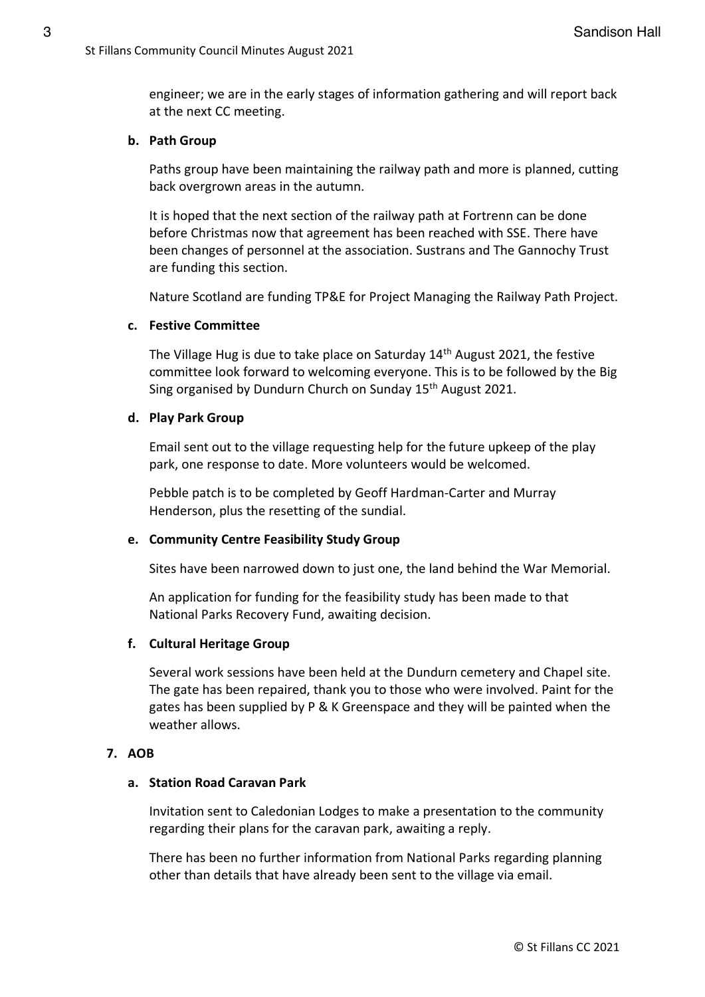engineer; we are in the early stages of information gathering and will report back at the next CC meeting.

## **b. Path Group**

Paths group have been maintaining the railway path and more is planned, cutting back overgrown areas in the autumn.

It is hoped that the next section of the railway path at Fortrenn can be done before Christmas now that agreement has been reached with SSE. There have been changes of personnel at the association. Sustrans and The Gannochy Trust are funding this section.

Nature Scotland are funding TP&E for Project Managing the Railway Path Project.

#### **c. Festive Committee**

The Village Hug is due to take place on Saturday 14<sup>th</sup> August 2021, the festive committee look forward to welcoming everyone. This is to be followed by the Big Sing organised by Dundurn Church on Sunday 15<sup>th</sup> August 2021.

#### **d. Play Park Group**

Email sent out to the village requesting help for the future upkeep of the play park, one response to date. More volunteers would be welcomed.

Pebble patch is to be completed by Geoff Hardman-Carter and Murray Henderson, plus the resetting of the sundial.

# **e. Community Centre Feasibility Study Group**

Sites have been narrowed down to just one, the land behind the War Memorial.

An application for funding for the feasibility study has been made to that National Parks Recovery Fund, awaiting decision.

# **f. Cultural Heritage Group**

Several work sessions have been held at the Dundurn cemetery and Chapel site. The gate has been repaired, thank you to those who were involved. Paint for the gates has been supplied by P & K Greenspace and they will be painted when the weather allows.

# **7. AOB**

# **a. Station Road Caravan Park**

Invitation sent to Caledonian Lodges to make a presentation to the community regarding their plans for the caravan park, awaiting a reply.

There has been no further information from National Parks regarding planning other than details that have already been sent to the village via email.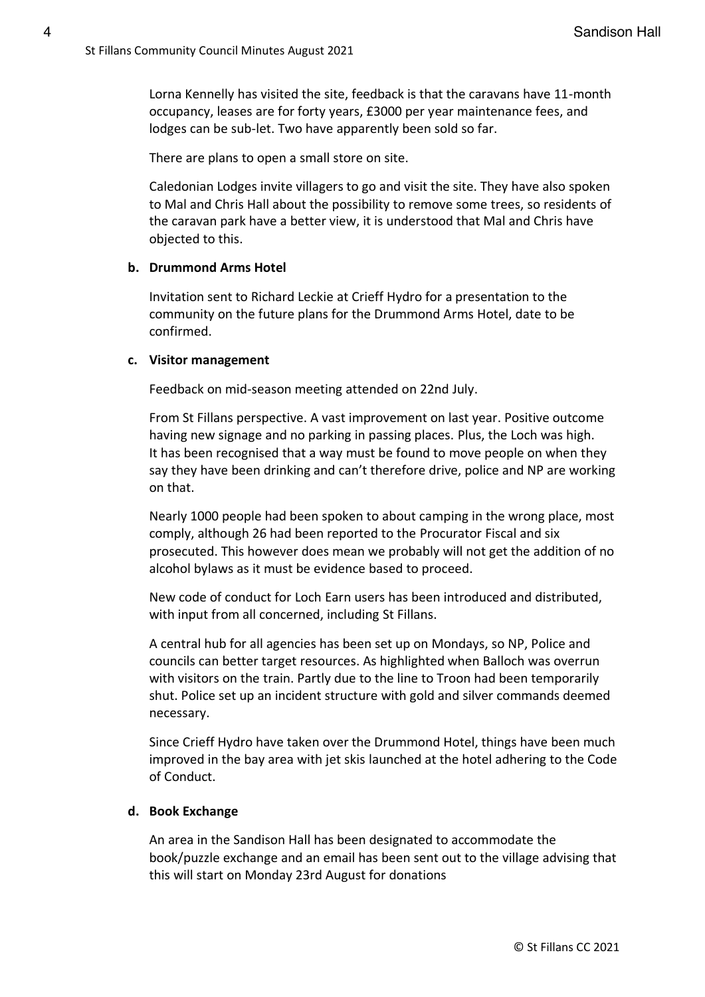Lorna Kennelly has visited the site, feedback is that the caravans have 11-month occupancy, leases are for forty years, £3000 per year maintenance fees, and lodges can be sub-let. Two have apparently been sold so far.

There are plans to open a small store on site.

Caledonian Lodges invite villagers to go and visit the site. They have also spoken to Mal and Chris Hall about the possibility to remove some trees, so residents of the caravan park have a better view, it is understood that Mal and Chris have objected to this.

#### **b. Drummond Arms Hotel**

Invitation sent to Richard Leckie at Crieff Hydro for a presentation to the community on the future plans for the Drummond Arms Hotel, date to be confirmed.

#### **c. Visitor management**

Feedback on mid-season meeting attended on 22nd July.

From St Fillans perspective. A vast improvement on last year. Positive outcome having new signage and no parking in passing places. Plus, the Loch was high. It has been recognised that a way must be found to move people on when they say they have been drinking and can't therefore drive, police and NP are working on that.

Nearly 1000 people had been spoken to about camping in the wrong place, most comply, although 26 had been reported to the Procurator Fiscal and six prosecuted. This however does mean we probably will not get the addition of no alcohol bylaws as it must be evidence based to proceed.

New code of conduct for Loch Earn users has been introduced and distributed, with input from all concerned, including St Fillans.

A central hub for all agencies has been set up on Mondays, so NP, Police and councils can better target resources. As highlighted when Balloch was overrun with visitors on the train. Partly due to the line to Troon had been temporarily shut. Police set up an incident structure with gold and silver commands deemed necessary.

Since Crieff Hydro have taken over the Drummond Hotel, things have been much improved in the bay area with jet skis launched at the hotel adhering to the Code of Conduct.

#### **d. Book Exchange**

An area in the Sandison Hall has been designated to accommodate the book/puzzle exchange and an email has been sent out to the village advising that this will start on Monday 23rd August for donations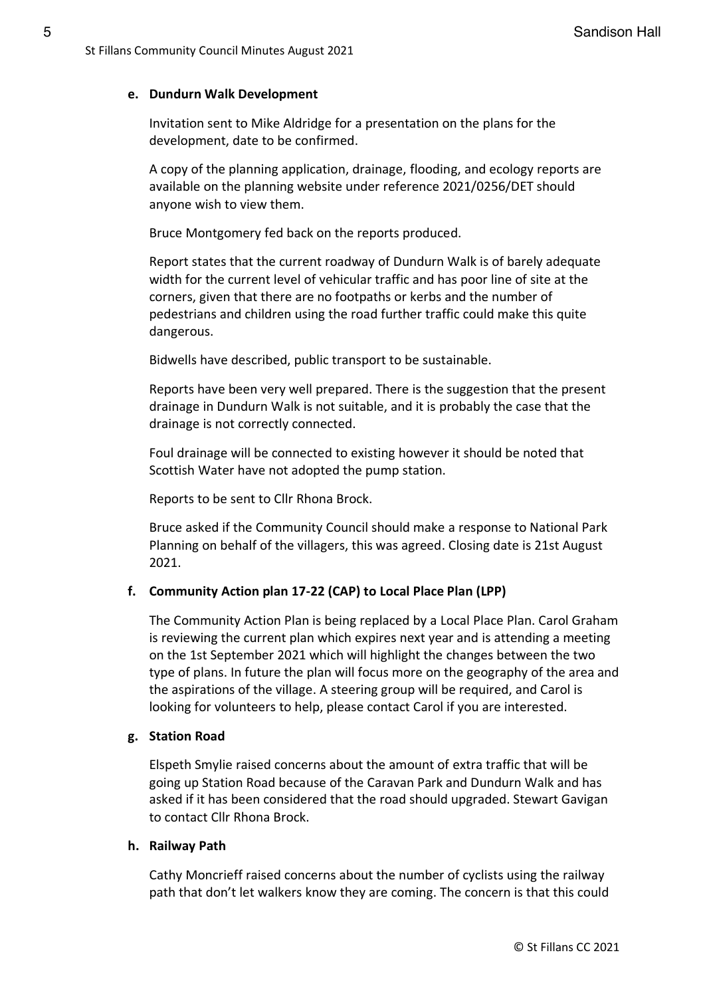# **e. Dundurn Walk Development**

Invitation sent to Mike Aldridge for a presentation on the plans for the development, date to be confirmed.

A copy of the planning application, drainage, flooding, and ecology reports are available on the planning website under reference 2021/0256/DET should anyone wish to view them.

Bruce Montgomery fed back on the reports produced.

Report states that the current roadway of Dundurn Walk is of barely adequate width for the current level of vehicular traffic and has poor line of site at the corners, given that there are no footpaths or kerbs and the number of pedestrians and children using the road further traffic could make this quite dangerous.

Bidwells have described, public transport to be sustainable.

Reports have been very well prepared. There is the suggestion that the present drainage in Dundurn Walk is not suitable, and it is probably the case that the drainage is not correctly connected.

Foul drainage will be connected to existing however it should be noted that Scottish Water have not adopted the pump station.

Reports to be sent to Cllr Rhona Brock.

Bruce asked if the Community Council should make a response to National Park Planning on behalf of the villagers, this was agreed. Closing date is 21st August 2021.

# **f. Community Action plan 17-22 (CAP) to Local Place Plan (LPP)**

The Community Action Plan is being replaced by a Local Place Plan. Carol Graham is reviewing the current plan which expires next year and is attending a meeting on the 1st September 2021 which will highlight the changes between the two type of plans. In future the plan will focus more on the geography of the area and the aspirations of the village. A steering group will be required, and Carol is looking for volunteers to help, please contact Carol if you are interested.

# **g. Station Road**

Elspeth Smylie raised concerns about the amount of extra traffic that will be going up Station Road because of the Caravan Park and Dundurn Walk and has asked if it has been considered that the road should upgraded. Stewart Gavigan to contact Cllr Rhona Brock.

#### **h. Railway Path**

Cathy Moncrieff raised concerns about the number of cyclists using the railway path that don't let walkers know they are coming. The concern is that this could